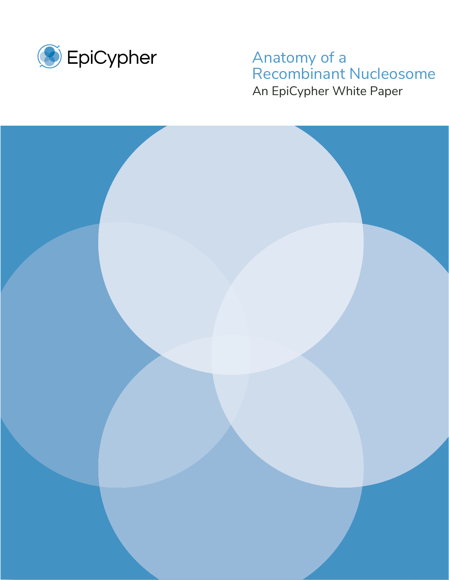

#### $\frac{1}{2}$ iy or a<br>binant Nucl nhar Whita I An EpiCypher White Paper Anatomy of a Recombinant Nucleosome

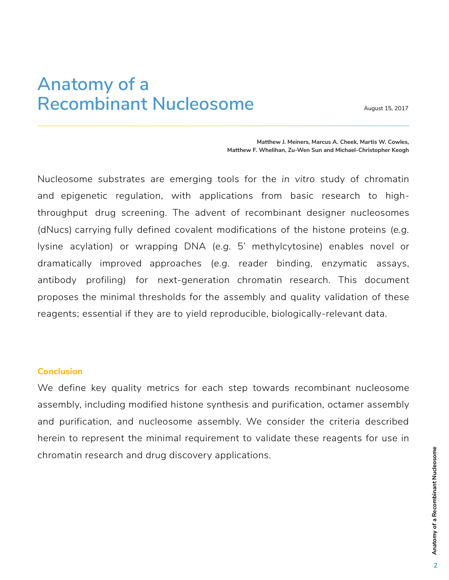# **Anatomy of a Recombinant Nucleosome**

August 15, 2017

**Matthew J. Meiners, Marcus A. Cheek, Martis W. Cowles, Matthew F. Whelihan, Zu-Wen Sun and Michael-Christopher Keogh**

Nucleosome substrates are emerging tools for the *in vitro* study of chromatin and epigenetic regulation, with applications from basic research to highthroughput drug screening. The advent of recombinant designer nucleosomes (dNucs) carrying fully defined covalent modifications of the histone proteins (*e.g.* lysine acylation) or wrapping DNA (*e.g.* 5' methylcytosine) enables novel or dramatically improved approaches (*e.g.* reader binding, enzymatic assays, antibody profiling) for next-generation chromatin research. This document proposes the minimal thresholds for the assembly and quality validation of these reagents; essential if they are to yield reproducible, biologically-relevant data.

#### **Conclusion**

We define key quality metrics for each step towards recombinant nucleosome assembly, including modified histone synthesis and purification, octamer assembly and purification, and nucleosome assembly. We consider the criteria described herein to represent the minimal requirement to validate these reagents for use in chromatin research and drug discovery applications.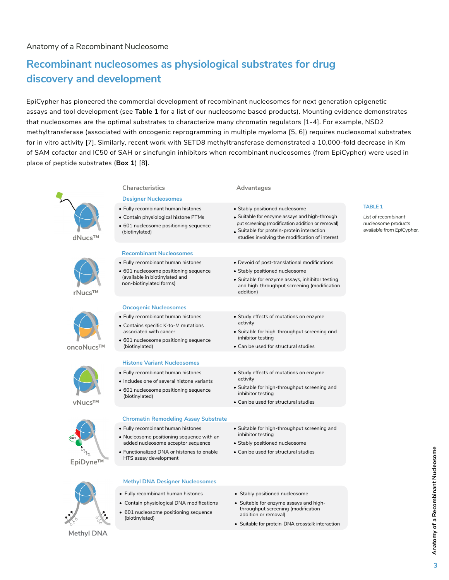## **Recombinant nucleosomes as physiological substrates for drug discovery and development**

EpiCypher has pioneered the commercial development of recombinant nucleosomes for next generation epigenetic assays and tool development (see **Table 1** for a list of our nucleosome based products). Mounting evidence demonstrates that nucleosomes are the optimal substrates to characterize many chromatin regulators [1-4]. For example, NSD2 **peptides, providing access to historically challenging targets.** methyltransferase (associated with oncogenic reprogramming in multiple myeloma [5, 6]) requires nucleosomal substrates for in vitro activity [7]. Similarly, recent work with SETD8 methyltransferase demonstrated a 10,000-fold decrease in Km of SAM cofactor and IC50 of SAH or sinefungin inhibitors when recombinant nucleosomes (from EpiCypher) were used in place of peptide substrates (**Box 1**) [8].  $\frac{d}{dt}$  and  $\frac{d}{dt}$  and  $\frac{d}{dt}$  is mutations, or historical variants.



**Methyl DNA**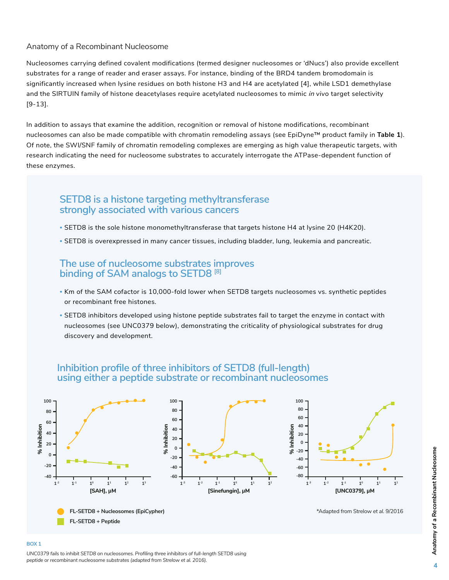#### Anatomy of a Recombinant Nucleosome

Nucleosomes carrying defined covalent modifications (termed designer nucleosomes or 'dNucs') also provide excellent substrates for a range of reader and eraser assays. For instance, binding of the BRD4 tandem bromodomain is significantly increased when lysine residues on both histone H3 and H4 are acetylated [4], while LSD1 demethylase and the SIRTUIN family of histone deacetylases require acetylated nucleosomes to mimic in *vivo* target selectivity [9-13].

In addition to assays that examine the addition, recognition or removal of histone modifications, recombinant nucleosomes can also be made compatible with chromatin remodeling assays (see EpiDyne™ product family in **Table 1**). Of note, the SWI/SNF family of chromatin remodeling complexes are emerging as high value therapeutic targets, with research indicating the need for nucleosome substrates to accurately interrogate the ATPase-dependent function of these enzymes.

### **SETD8 is a histone targeting methyltransferase strongly associated with various cancers**

- SETD8 is the sole histone monomethyltransferase that targets histone H4 at lysine 20 (H4K20).
- SETD8 is overexpressed in many cancer tissues, including bladder, lung, leukemia and pancreatic.

### **The use of nucleosome substrates improves binding of SAM analogs to SETD8 [8]**

- Km of the SAM cofactor is 10,000-fold lower when SETD8 targets nucleosomes vs. synthetic peptides or recombinant free histones.
- SETD8 inhibitors developed using histone peptide substrates fail to target the enzyme in contact with nucleosomes (see UNC0379 below), demonstrating the criticality of physiological substrates for drug discovery and development.



### **Inhibition profile of three inhibitors of SETD8 (full-length) using either a peptide substrate or recombinant nucleosomes**

#### **BOX 1**

*UNC0379 fails to inhibit SETD8 on nucleosomes. Profiling three inhibitors of full-length SETD8 using peptide or recombinant nucleosome substrates (adapted from Strelow et al. 2016).*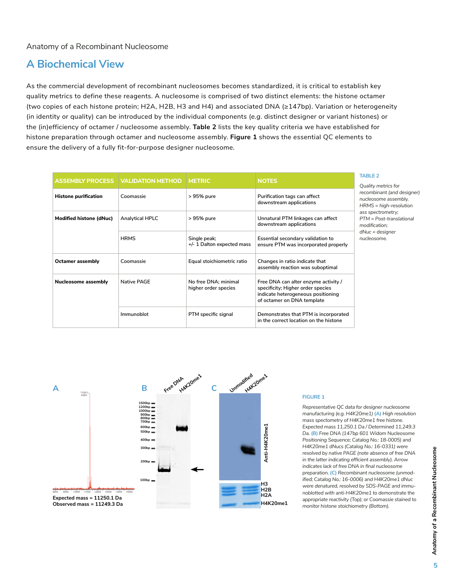### **A Biochemical View**

As the commercial development of recombinant nucleosomes becomes standardized, it is critical to establish key quality metrics to define these reagents. A nucleosome is comprised of two distinct elements: the histone octamer (two copies of each histone protein; H2A, H2B, H3 and H4) and associated DNA (≥147bp). Variation or heterogeneity (in identity or quality) can be introduced by the individual components (*e.g.* distinct designer or variant histones) or the (in)efficiency of octamer / nucleosome assembly. **Table 2** lists the key quality criteria we have established for histone preparation through octamer and nucleosome assembly. **Figure 1** shows the essential QC elements to ensure the delivery of a fully fit-for-purpose designer nucleosome.

|                             | <b>ASSEMBLY PROCESS   VALIDATION METHOD</b> | <b>METRIC</b>                                | <b>NOTES</b>                                                                                                                                  | <b>TABLE 2</b>                                                                                                                                                                                              |
|-----------------------------|---------------------------------------------|----------------------------------------------|-----------------------------------------------------------------------------------------------------------------------------------------------|-------------------------------------------------------------------------------------------------------------------------------------------------------------------------------------------------------------|
| <b>Histone purification</b> | Coomassie                                   | > 95% pure                                   | Purification tags can affect<br>downstream applications                                                                                       | Quality metrics for<br>recombinant (and designer)<br>nucleosome assembly.<br>$HRMS = high-resolution$<br>ass spectrometry;<br>PTM = Post-translational<br>modification:<br>$dNuc = designer$<br>nucleosome. |
| Modified histone (dNuc)     | <b>Analytical HPLC</b>                      | > 95% pure                                   | Unnatural PTM linkages can affect<br>downstream applications                                                                                  |                                                                                                                                                                                                             |
|                             | <b>HRMS</b>                                 | Single peak;<br>+/- 1 Dalton expected mass   | Essential secondary validation to<br>ensure PTM was incorporated properly                                                                     |                                                                                                                                                                                                             |
| <b>Octamer assembly</b>     | Coomassie                                   | Equal stoichiometric ratio                   | Changes in ratio indicate that<br>assembly reaction was suboptimal                                                                            |                                                                                                                                                                                                             |
| <b>Nucleosome assembly</b>  | <b>Native PAGE</b>                          | No free DNA: minimal<br>higher order species | Free DNA can alter enzyme activity /<br>specificity; Higher order species<br>indicate heterogeneous positioning<br>of octamer on DNA template |                                                                                                                                                                                                             |
|                             | Immunoblot                                  | PTM specific signal                          | Demonstrates that PTM is incorporated<br>in the correct location on the histone                                                               |                                                                                                                                                                                                             |



#### **FIGURE 1**

*Representative QC data for designer nucleosome manufacturing (e.g. H4K20me1)* **(A)** *High resolution mass spectometry of H4K20me1 free histone. Expected mass 11,250.1 Da / Determined 11,249.3 Da.* **(B)** *Free DNA (147bp 601 Widom Nucleosome Positioning Sequence; Catalog No.: 18-0005) and H4K20me1 dNucs (Catalog No.: 16-0331) were resolved by native PAGE (note absence of free DNA in the latter indicating efficient assembly). Arrow indicates lack of free DNA in final nucleosome preparation.* **(C)** *Recombinant nucleosome (unmodified; Catalog No.: 16-0006) and H4K20me1 dNuc were denatured, resolved by SDS-PAGE and immunoblotted with anti-H4K20me1 to demonstrate the appropriate reactivity (Top); or Coomassie stained to monitor histone stoichiometry (Bottom).*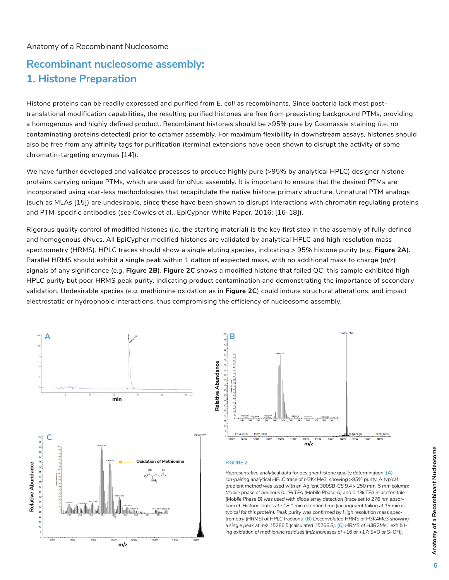#### Anatomy of a Recombinant Nucleosome

### **Recombinant nucleosome assembly: 1. Histone Preparation**

Histone proteins can be readily expressed and purified from *E. coli* as recombinants. Since bacteria lack most posttranslational modification capabilities, the resulting purified histones are free from preexisting background PTMs, providing a homogenous and highly defined product. Recombinant histones should be >95% pure by Coomassie staining (*i.e.* no contaminating proteins detected) prior to octamer assembly. For maximum flexibility in downstream assays, histones should also be free from any affinity tags for purification (terminal extensions have been shown to disrupt the activity of some chromatin-targeting enzymes [14]).

We have further developed and validated processes to produce highly pure (>95% by analytical HPLC) designer histone proteins carrying unique PTMs, which are used for dNuc assembly. It is important to ensure that the desired PTMs are incorporated using scar-less methodologies that recapitulate the native histone primary structure. Unnatural PTM analogs (such as MLAs [15]) are undesirable, since these have been shown to disrupt interactions with chromatin regulating proteins and PTM-specific antibodies (see Cowles et al., EpiCypher White Paper, 2016; [16-18]).

Rigorous quality control of modified histones (*i.e.* the starting material) is the key first step in the assembly of fully-defined and homogenous dNucs. All EpiCypher modified histones are validated by analytical HPLC and high resolution mass spectrometry (HRMS). HPLC traces should show a single eluting species, indicating > 95% histone purity (*e.g.* **Figure 2A**). Parallel HRMS should exhibit a single peak within 1 dalton of expected mass, with no additional mass to charge (m/z) signals of any significance (*e.g.* **Figure 2B**). **Figure 2C** shows a modified histone that failed QC: this sample exhibited high HPLC purity but poor HRMS peak purity, indicating product contamination and demonstrating the importance of secondary validation. Undesirable species (*e.g.* methionine oxidation as in **Figure 2C**) could induce structural alterations, and impact electrostatic or hydrophobic interactions, thus compromising the efficiency of nucleosome assembly.

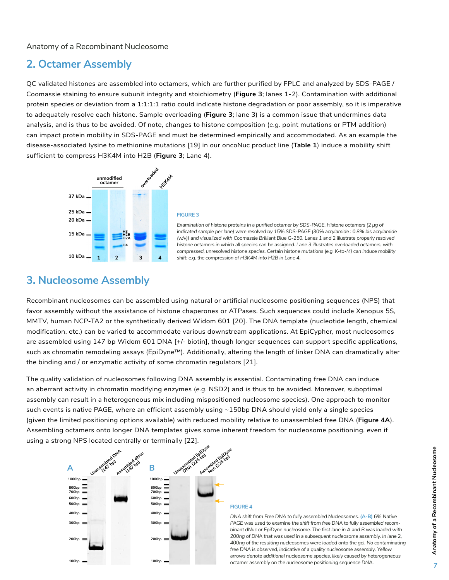### **2. Octamer Assembly**

QC validated histones are assembled into octamers, which are further purified by FPLC and analyzed by SDS-PAGE / Coomassie staining to ensure subunit integrity and stoichiometry (**Figure 3**; lanes 1-2). Contamination with additional protein species or deviation from a 1:1:1:1 ratio could indicate histone degradation or poor assembly, so it is imperative to adequately resolve each histone. Sample overloading (**Figure 3**; lane 3) is a common issue that undermines data analysis, and is thus to be avoided. Of note, changes to histone composition (*e.g.* point mutations or PTM addition) can impact protein mobility in SDS-PAGE and must be determined empirically and accommodated. As an example the disease-associated lysine to methionine mutations [19] in our oncoNuc product line (**Table 1**) induce a mobility shift sufficient to compress H3K4M into H2B (**Figure 3**; Lane 4).



#### **FIGURE 3**

*Examination of histone proteins in a purified octamer by SDS-PAGE. Histone octamers (2 μg of indicated sample per lane) were resolved by 15% SDS-PAGE (30% acrylamide : 0.8% bis acrylamide (w/v)) and visualized with Coomassie Brilliant Blue G-250. Lanes 1 and 2 illustrate properly resolved histone octamers in which all species can be assigned. Lane 3 illustrates overloaded octamers, with compressed, unresolved histone species. Certain histone mutations (e.g. K-to-M) can induce mobility shift: e.g. the compression of H3K4M into H2B in Lane 4.*

### **3. Nucleosome Assembly**

Recombinant nucleosomes can be assembled using natural or artificial nucleosome positioning sequences (NPS) that favor assembly without the assistance of histone chaperones or ATPases. Such sequences could include Xenopus 5S, MMTV, human NCP-TA2 or the synthetically derived Widom 601 [20]. The DNA template (nucleotide length, chemical modification, etc.) can be varied to accommodate various downstream applications. At EpiCypher, most nucleosomes are assembled using 147 bp Widom 601 DNA [+/- biotin], though longer sequences can support specific applications, such as chromatin remodeling assays (EpiDyne™). Additionally, altering the length of linker DNA can dramatically alter the binding and / or enzymatic activity of some chromatin regulators [21].

The quality validation of nucleosomes following DNA assembly is essential. Contaminating free DNA can induce an aberrant activity in chromatin modifying enzymes (*e.g.* NSD2) and is thus to be avoided. Moreover, suboptimal assembly can result in a heterogeneous mix including mispositioned nucleosome species). One approach to monitor such events is native PAGE, where an efficient assembly using ~150bp DNA should yield only a single species (given the limited positioning options available) with reduced mobility relative to unassembled free DNA (**Figure 4A**). Assembling octamers onto longer DNA templates gives some inherent freedom for nucleosome positioning, even if using a strong NPS located centrally or terminally [22].



*DNA shift from Free DNA to fully assembled Nucleosomes.* **(A-B)** *6% Native PAGE was used to examine the shift from free DNA to fully assembled recombinant dNuc or EpiDyne nucleosome. The first lane in A and B was loaded with 200ng of DNA that was used in a subsequent nucleosome assembly. In lane 2, 400ng of the resulting nucleosomes were loaded onto the gel. No contaminating free DNA is observed, indicative of a quality nucleosome assembly. Yellow arrows denote additional nucleosome species, likely caused by heterogeneous octamer assembly on the nucleosome positioning sequence DNA.*